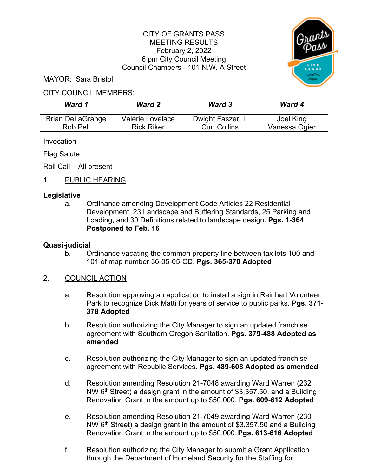## CITY OF GRANTS PASS MEETING RESULTS February 2, 2022 6 pm City Council Meeting Council Chambers - 101 N.W. A Street



MAYOR: Sara Bristol

#### CITY COUNCIL MEMBERS:

| Ward 1                  | <b>Ward 2</b>     | <b>Ward 3</b>       | Ward 4        |
|-------------------------|-------------------|---------------------|---------------|
| <b>Brian DeLaGrange</b> | Valerie Lovelace  | Dwight Faszer, II   | Joel King     |
| Rob Pell                | <b>Rick Riker</b> | <b>Curt Collins</b> | Vanessa Ogier |

Invocation

Flag Salute

Roll Call – All present

## 1. PUBLIC HEARING

#### **Legislative**

a. Ordinance amending Development Code Articles 22 Residential Development, 23 Landscape and Buffering Standards, 25 Parking and Loading, and 30 Definitions related to landscape design. **Pgs. 1-364 Postponed to Feb. 16**

#### **Quasi-judicial**

b. Ordinance vacating the common property line between tax lots 100 and 101 of map number 36-05-05-CD. **Pgs. 365-370 Adopted**

#### 2. COUNCIL ACTION

- a. Resolution approving an application to install a sign in Reinhart Volunteer Park to recognize Dick Matti for years of service to public parks. **Pgs. 371- 378 Adopted**
- b. Resolution authorizing the City Manager to sign an updated franchise agreement with Southern Oregon Sanitation. **Pgs. 379-488 Adopted as amended**
- c. Resolution authorizing the City Manager to sign an updated franchise agreement with Republic Services. **Pgs. 489-608 Adopted as amended**
- d. Resolution amending Resolution 21-7048 awarding Ward Warren (232 NW 6<sup>th</sup> Street) a design grant in the amount of \$3,357.50, and a Building Renovation Grant in the amount up to \$50,000. **Pgs. 609-612 Adopted**
- e. Resolution amending Resolution 21-7049 awarding Ward Warren (230 NW  $6<sup>th</sup>$  Street) a design grant in the amount of \$3,357.50 and a Building Renovation Grant in the amount up to \$50,000.**Pgs. 613-616 Adopted**
- f. Resolution authorizing the City Manager to submit a Grant Application through the Department of Homeland Security for the Staffing for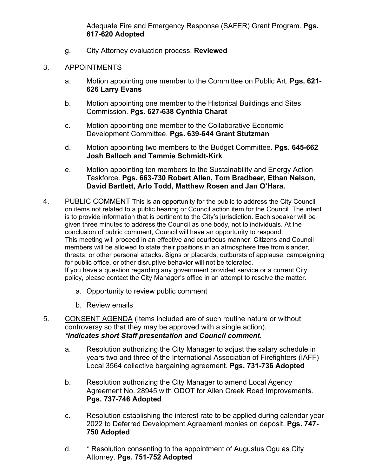Adequate Fire and Emergency Response (SAFER) Grant Program. **Pgs. 617-620 Adopted**

g. City Attorney evaluation process. **Reviewed**

### 3. APPOINTMENTS

- a. Motion appointing one member to the Committee on Public Art. **Pgs. 621- 626 Larry Evans**
- b. Motion appointing one member to the Historical Buildings and Sites Commission. **Pgs. 627-638 Cynthia Charat**
- c. Motion appointing one member to the Collaborative Economic Development Committee. **Pgs. 639-644 Grant Stutzman**
- d. Motion appointing two members to the Budget Committee. **Pgs. 645-662 Josh Balloch and Tammie Schmidt-Kirk**
- e. Motion appointing ten members to the Sustainability and Energy Action Taskforce. **Pgs. 663-730 Robert Allen, Tom Bradbeer, Ethan Nelson, David Bartlett, Arlo Todd, Matthew Rosen and Jan O'Hara.**
- 4. PUBLIC COMMENT This is an opportunity for the public to address the City Council on items not related to a public hearing or Council action item for the Council. The intent is to provide information that is pertinent to the City's jurisdiction. Each speaker will be given three minutes to address the Council as one body, not to individuals. At the conclusion of public comment, Council will have an opportunity to respond. This meeting will proceed in an effective and courteous manner. Citizens and Council members will be allowed to state their positions in an atmosphere free from slander, threats, or other personal attacks. Signs or placards, outbursts of applause, campaigning for public office, or other disruptive behavior will not be tolerated. If you have a question regarding any government provided service or a current City policy, please contact the City Manager's office in an attempt to resolve the matter.
	- a. Opportunity to review public comment
	- b. Review emails
- 5. CONSENT AGENDA (Items included are of such routine nature or without controversy so that they may be approved with a single action). *\*Indicates short Staff presentation and Council comment.*
	- a. Resolution authorizing the City Manager to adjust the salary schedule in years two and three of the International Association of Firefighters (IAFF) Local 3564 collective bargaining agreement. **Pgs. 731-736 Adopted**
	- b. Resolution authorizing the City Manager to amend Local Agency Agreement No. 28945 with ODOT for Allen Creek Road Improvements. **Pgs. 737-746 Adopted**
	- c. Resolution establishing the interest rate to be applied during calendar year 2022 to Deferred Development Agreement monies on deposit. **Pgs. 747- 750 Adopted**
	- d. \* Resolution consenting to the appointment of Augustus Ogu as City Attorney. **Pgs. 751-752 Adopted**